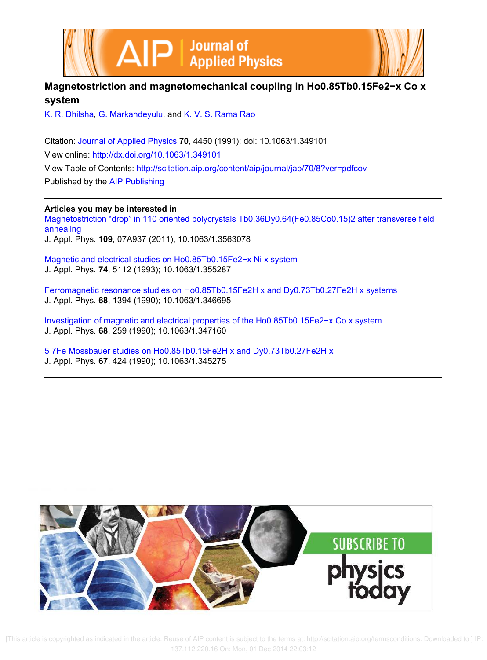



K. R. Dhilsha, G. Markandeyulu, and K. V. S. Rama Rao

Citation: Journal of Applied Physics **70**, 4450 (1991); doi: 10.1063/1.349101 View online: http://dx.doi.org/10.1063/1.349101 View Table of Contents: http://scitation.aip.org/content/aip/journal/jap/70/8?ver=pdfcov Published by the AIP Publishing

**Articles you may be interested in** Magnetostriction "drop" in 110 oriented polycrystals Tb0.36Dy0.64(Fe0.85Co0.15)2 after transverse field annealing J. Appl. Phys. **109**, 07A937 (2011); 10.1063/1.3563078

Magnetic and electrical studies on Ho0.85Tb0.15Fe2−x Ni x system J. Appl. Phys. **74**, 5112 (1993); 10.1063/1.355287

Ferromagnetic resonance studies on Ho0.85Tb0.15Fe2H x and Dy0.73Tb0.27Fe2H x systems J. Appl. Phys. **68**, 1394 (1990); 10.1063/1.346695

Investigation of magnetic and electrical properties of the Ho0.85Tb0.15Fe2−x Co x system J. Appl. Phys. **68**, 259 (1990); 10.1063/1.347160

5 7Fe Mossbauer studies on Ho0.85Tb0.15Fe2H x and Dy0.73Tb0.27Fe2H x J. Appl. Phys. **67**, 424 (1990); 10.1063/1.345275

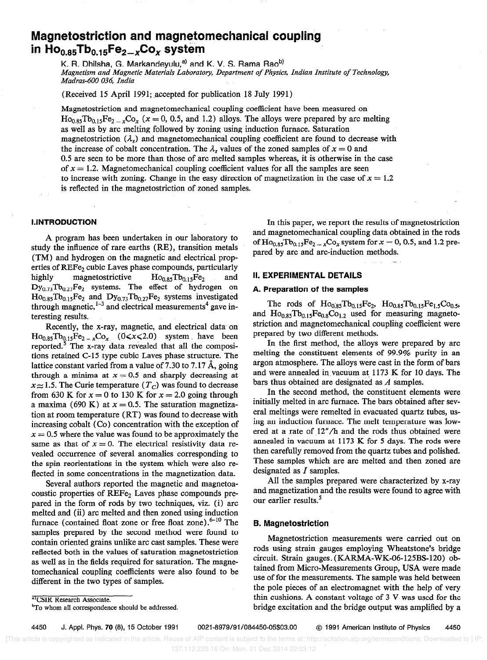# Magnetostriction and magnetomechanical coupling in  $Ho<sub>0.85</sub>Tb<sub>0.15</sub>Fe<sub>2-x</sub>Co<sub>x</sub> system$

K. R. Dhilsha, G. Markandeyulu,<sup>a)</sup> and K. V. S. Rama Rao<sup>b)</sup> Magnetism and Magnetic Materials Laboratory, Department of Physics, Indian Institute of Technology, Madras-600 036, India

(Received 15 April 1991; accepted for publication 18 July 1991)

Magnetostriction and magnetomechanical coupling coefficient have been measured on  $H_{\text{O}_{0.85}}Tb_{0.15}Fe_{2-x}Co_x$  (x = 0, 0.5, and 1.2) alloys. The alloys were prepared by arc melting as well as by arc melting followed by zoning using induction furnace. Saturation magnetostriction  $(\lambda_s)$  and magnetomechanical coupling coefficient are found to decrease with the increase of cobalt concentration. The  $\lambda_s$  values of the zoned samples of  $x = 0$  and 0.5 are seen to be more than those of arc melted samples whereas, it is otherwise in the case of  $x = 1.2$ . Magnetomechanical coupling coefficient values for all the samples are seen to increase with zoning. Change in the easy direction of magnetization in the case of  $x = 1.2$ is reflected in the magnetostriction of zoned samples.

## I.INTRODUCTION

A program has been undertaken in our laboratory to study the influence of rare earths (RE), transition metals (TM) and hydrogen on the magnetic and electrical properties of REFe<sub>2</sub> cubic Laves phase compounds, particularly highly magnetostrictive  $Ho_{0.85}Tb_{0.15}Fe_2$  and  $Dy_{0.73}Tb_{0.27}Fe_2$  systems. The effect of hydrogen on  $Ho<sub>0.85</sub> Tb<sub>0.15</sub>Fe<sub>2</sub>$  and  $Dy<sub>0.73</sub> Tb<sub>0.27</sub>Fe<sub>2</sub>$  systems investigated through magnetic,  $1-3$  and electrical measurements<sup>4</sup> gave interesting results.

Recently, the x-ray, magnetic, and electrical data on  $\text{Ho}_{0.85}\text{To}_{0.15}\text{Fe}_{2-x}\text{Co}_x$  (0< $x$ <2.0) system have been reported.5 The x-ray data revealed that all the compositions retained C-15 type cubic Laves phase structure. The lattice constant varied from a value of 7.30 to 7.17 Å, going through a minima at  $x = 0.5$  and sharply decreasing at  $x \approx 1.5$ . The Curie temperature ( $T_c$ ) was found to decrease from 630 K for  $x = 0$  to 130 K for  $x = 2.0$  going through a maxima (690 K) at  $x = 0.5$ . The saturation magnetization at room temperature (RT) was found to decrease with increasing cobalt (Co) concentration with the exception of  $x = 0.5$  where the value was found to be approximately the same as that of  $x = 0$ . The electrical resistivity data revealed occurrence of several anomalies corresponding to the spin reorientations in the system which were also reflected in some concentrations in the magnetization data.

Several authors reported the magnetic and magnetoacoustic properties of  $REF_{2}$  Laves phase compounds prepared in the form of rods by two techniques, viz. (i) arc melted and (ii) arc melted and then zoned using induction furnace (contained float zone or free float zone). $6-10$  The samples prepared by the second method were found to contain oriented grains unlike arc cast samples. These were reflected both in the values of saturation magnetostriction as well as in the fields required for saturation. The magnetomechanical coupling coefficients were also found to be different in the two types of samples.

In this paper, we report the results of magnetostriction and magnetomechanical coupling data obtained in the rods of  $Ho_{0.85}Tb_{0.15}Fe_{2-x}Co_x$  system for  $x = 0, 0.5$ , and 1.2 prepared by arc and arc-induction methods.

--

## II. EXPERIMENTAL DETAILS

# A. Preparation of the samples

The rods of  $Ho_{0.85}Tb_{0.15}Fe_2$ ,  $Ho_{0.85}Tb_{0.15}Fe_{1.5}Co_{0.5}$ , and  $Ho_{0.85}Tb_{0.15}Fe_{0.8}Co_{1.2}$  used for measuring magnetostriction and magnetomechanical coupling coefficient were prepared by two different methods.

In the first method, the alloys were prepared by arc melting the constituent elements of 99.9% purity in an argon atmosphere. The alloys were cast in the form of bars and were annealed in vacuum at  $1173 \text{ K}$  for 10 days. The bars thus obtained are designated as A samples.

In the second method, the constituent elements were initially melted in arc furnace. The bars obtained after several meltings were remelted in evacuated quartz tubes, using an induction furnace. The melt temperature was lowered at a rate of 12"/h and the rods thus obtained were annealed in vacuum at 1173 K for 5 days. The rods were then carefully removed from the quartz tubes and polished. These samples which are arc melted and then zoned are designated as  $I$  samples.

All the samples prepared were characterized by x-ray and magnetization and the results were found to agree with our earlier results.<sup>5</sup>

## B. Magnetostriction

Magnetostriction measurements were carried out on rods using strain gauges employing Wheatstone's bridge circuit. Strain gauges. (KARMA-WK-06-125BS-120) obtained from Micro-Measurements Group, USA were made use of for the measurements. The sample was held between the pole pieces of an electromagnet with the help of very thin cushions. A constant voltage of 3 V was used for the bridge excitation and the bridge output was amplified by a

a) CSIR Research Associate.

4450 J. Appl. Phys. 70 (a), 15 October 1991 0021-8979/91/084450-05\$03.00 @ 1991 American Institute of Physics 4450

<sup>&</sup>lt;sup>b</sup>To whom all correspondence should be addressed.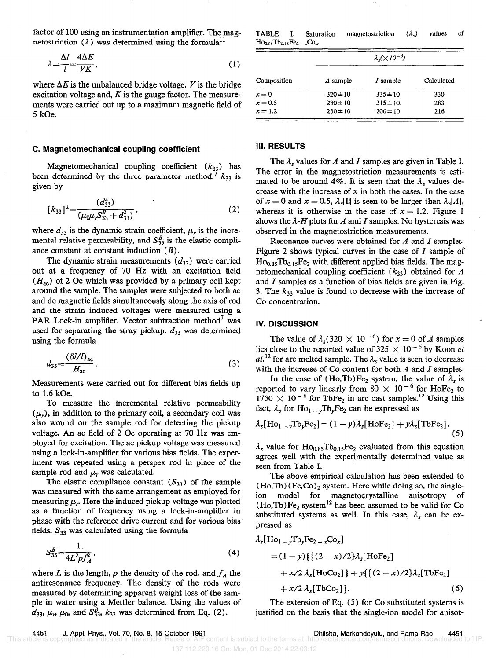factor of 100 using an instrumentation amplifier. The mag- TABLE I. Saturation netostriction  $(\lambda)$  was determined using the formula<sup>11</sup>

$$
\lambda = \frac{\Delta l}{l} = \frac{4\Delta E}{V K},\tag{1}
$$

where  $\Delta E$  is the unbalanced bridge voltage, V is the bridge excitation voltage and,  $K$  is the gauge factor. The measurements were carried out up to a maximum magnetic field of 5 kOe.

### C. Magnetomechanical coupling coefficient

Magnetomechanical coupling coefficient  $(k_{33})$  has been determined by the three parameter method.<sup>7</sup>  $k_{33}$  is given by

$$
[k_{33}]^{2} = \frac{(d_{33}^{2})}{(\mu_{0}\mu_{r}S_{33}^{B} + d_{33}^{2})},
$$
\n(2)

where  $d_{33}$  is the dynamic strain coefficient,  $\mu_r$  is the incremental relative permeability, and  $S_{33}^B$  is the elastic compliance constant at constant induction  $(B)$ .

The dynamic strain measurements  $(d_{33})$  were carried out at a frequency of 70 Hz with an excitation field  $(H_{\rm ac})$  of 2 Oe which was provided by a primary coil kept around the sample. The samples were subjected to both ac and dc magnetic fields simultaneously along the axis of rod and the strain induced voltages were measured using a PAR Lock-in amplifier. Vector subtraction method' was used for separating the stray pickup.  $d_{33}$  was determined using the formula

$$
d_{33} = \frac{\left(\delta l / l\right)_{\text{ac}}}{H_{\text{ac}}}.
$$
\n<sup>(3)</sup>

Measurements were carried out for different bias fields up to 1.6 kOe.

To measure the incremental relative permeability  $(\mu_r)$ , in addition to the primary coil, a secondary coil was also wound on the sample rod for detecting the pickup voltage. An ac field of 2 Oe operating at 70 Hz was employed for excitation. The ac pickup voltage was measured using a lock-in-amplifier for various bias fields. The experiment was repeated using a perspex rod in place of the sample rod and  $\mu_r$ , was calculated.

The elastic compliance constant  $(S_{33})$  of the sample was measured with the same arrangement as employed for measuring  $\mu_r$ . Here the induced pickup voltage was plotted as a function of frequency using a lock-in-amplifier in phase with the reference drive current and for various bias fields.  $S_{33}$  was calculated using the formula

$$
S_{33}^B = \frac{1}{4L^2 \rho f_A^2},\tag{4}
$$

where L is the length,  $\rho$  the density of the rod, and  $f_A$  the antiresonance frequency. The density of the rods were measured by determining apparent weight loss of the sample in water using a Mettler balance. Using the values of  $d_{33}$ ,  $\mu_r$ ,  $\mu_0$ , and  $S_{33}^B$ ,  $k_{33}$  was determined from Eq. (2).

magnetostriction  $(\lambda_s)$  values of  $Ho_{0.85}Tb_{0.15}Fe_{2-x}Co_{x}$ 

| Composition | $\lambda_s (\times 10^{-6})$ |              |            |
|-------------|------------------------------|--------------|------------|
|             | A sample                     | I sample     | Calculated |
| $x = 0$     | $320 \pm 10$                 | $335 \pm 10$ | 330        |
| $x = 0.5$   | $280 \pm 10$                 | $315 \pm 10$ | 283        |
| $x = 1.2$   | $230 \pm 10$                 | $200 \pm 10$ | 216        |

## III. RESULTS

The  $\lambda_s$  values for A and I samples are given in Table I. The error in the magnetostriction measurements is estimated to be around 4%. It is seen that the  $\lambda$ , values decrease with the increase of  $x$  in both the cases. In the case of  $x = 0$  and  $x = 0.5$ ,  $\lambda$ <sub>s</sub>[1] is seen to be larger than  $\lambda$ <sub>s</sub>[A], whereas it is otherwise in the case of  $x = 1.2$ . Figure 1 shows the  $\lambda$ -H plots for A and I samples. No hysteresis was observed in the magnetostriction measurements.

Resonance curves were obtained for A and I samples. Figure 2 shows typical curves in the case of  $I$  sample of  $Ho<sub>0.85</sub> Tb<sub>0.15</sub>Fe<sub>2</sub> with different applied bias fields. The mag$ netomechanical coupling coefficient  $(k_{33})$  obtained for A and  $I$  samples as a function of bias fields are given in Fig. 3. The  $k_{33}$  value is found to decrease with the increase of Co concentration.

## **IV. DISCUSSION**

The value of  $\lambda_s(320 \times 10^{-6})$  for  $x = 0$  of A samples lies close to the reported value of 325  $\times$  10<sup>-6</sup> by Koon et al.<sup>12</sup> for arc melted sample. The  $\lambda$ , value is seen to decrease with the increase of Co content for both  $A$  and  $I$  samples.

In the case of (Ho,Tb)Fe<sub>2</sub> system, the value of  $\lambda_s$  is reported to vary linearly from 80  $\times$  10<sup>-</sup> for HoFe<sub>2</sub> to  $1750 \times 10^{-6}$  for TbFe<sub>2</sub> in arc cast samples.<sup>12</sup> Using this fact,  $\lambda_s$  for  $Ho_1$ <sub>-y</sub>Tb<sub>y</sub>Fe<sub>2</sub> can be expressed as

$$
\lambda_{s}[\text{Ho}_{1\rightarrow y}\text{To}_{y}\text{Fe}_{2}] = (1-y)\lambda_{s}[\text{Ho}\text{Fe}_{2}] + y\lambda_{s}[\text{To}\text{Fe}_{2}].
$$
\n(5)

 $\lambda_s$  value for Ho<sub>0.85</sub>Tb<sub>0.15</sub>Fe<sub>2</sub> evaluated from this equation agrees well with the experimentally determined value as seen from Table I.

The above empirical calculation has been extended to  $(Ho, Tb)$  (Fe,Co)<sub>2</sub> system. Here while doing so, the singleion model for magnetocrystalline anisotropy of  $(Ho, Tb)Fe<sub>2</sub> system<sup>12</sup> has been assumed to be valid for Co$ substituted systems as well. In this case,  $\lambda_s$  can be expressed as

$$
\lambda_{s}[\text{Ho}_{1-y}\text{To}_{y}\text{Fe}_{2-x}\text{Co}_{x}]
$$
\n
$$
= (1-y)\{ \{ (2-x)/2 \} \lambda_{s}[\text{Ho}\text{Fe}_{2}] + x/2 \lambda_{s}[\text{Ho}\text{Co}_{2}] \} + y \{ \{ (2-x)/2 \} \lambda_{s}[\text{To}\text{Fe}_{2}] + x/2 \lambda_{s}[\text{To}\text{Co}_{2}] \}. \tag{6}
$$

The extension of Eq. (5) for Co substituted systems is justified on the basis that the single-ion model for anisot-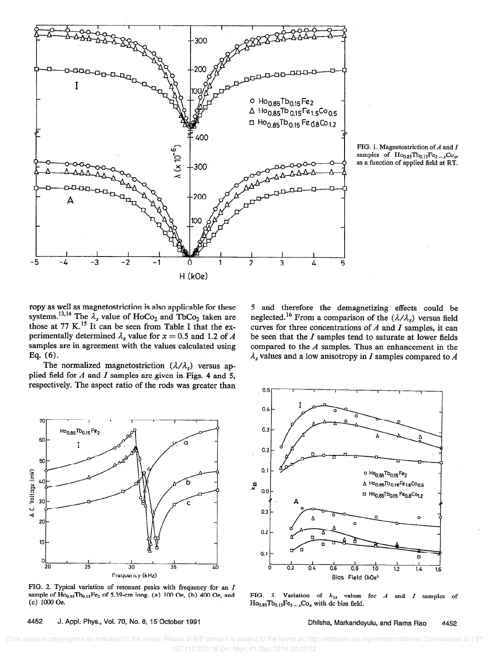

FIG. 1. Magnetostriction of  $A$  and  $I$ samples of  $Ho_{0.85}Tb_{0.15}Fe_{2-x}Co_{x}$ as a function of applied field at RT.

ropy as well as magnetostriction is also applicable for these systems.<sup>13,14</sup> The  $\lambda_s$  value of HoCo<sub>2</sub> and TbCo<sub>2</sub> taken are those at 77 K.<sup>15</sup> It can be seen from Table I that the experimentally determined  $\lambda_s$  value for  $x = 0.5$  and 1.2 of A be seen that the I samples tend to saturate at lower fields samples are in agreement with the values calculated using compared to the A samples. Thus an enhanc

The normalized magnetostriction  $(\lambda/\lambda_s)$  versus applied field for  $A$  and  $I$  samples are given in Figs. 4 and 5, respectively. The aspect ratio of the rods was greater than

5 and therefore the demagnetizing effects could be neglected.<sup>16</sup> From a comparison of the  $(\lambda/\lambda_s)$  versus field curves for three concentrations of  $A$  and  $I$  samples, it can samples are in agreement with the values calculated using compared to the A samples. Thus an enhancement in the Eq. (6).<br> $\lambda$ , values and a low anisotropy in I samples compared to A  $\lambda_s$  values and a low anisotropy in I samples compared to A



FIG. 2. Typical variation of resonant peaks with frequency for an I sample of  $Ho_{0.85}Tb_{0.15}Fe_2$  of 5.39-cm long. (a) 100 Oe, (b) 400 Oe, and (c) 1000 Oe.



FIG. 3. Variation of  $k_{33}$  values for A and I samples of  $Ho<sub>0.85</sub> Tb<sub>0.15</sub>Fe<sub>2-x</sub>Co<sub>x</sub> with dc bias field.$ 

4452 J. Appl. Phys., Vol. 70, No. 8, 15 October 1991 Chilsha, Markandeyulu, and Rama Rao 4452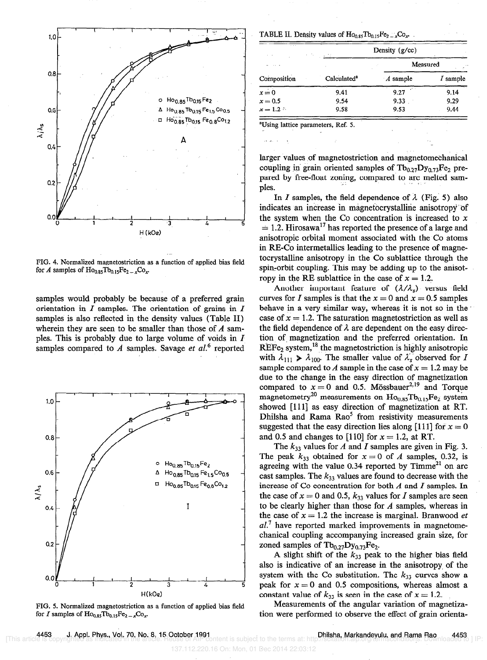

FIG. 4. Normalized magnetostriction as a function of applied bias field for A samples of  $Ho_{0.85}Tb_{0.15}Fe_{2-x}Co_x$ .

samples would probably be because of a preferred grain orientation in  $I$  samples. The orientation of grains in  $I$ samples is also reflected in the density values (Table II) wherein they are seen to be smaller than those of  $A$  samples. This is probably due to large volume of voids in  $I$ samples compared to A samples. Savage et  $al$ <sup>6</sup> reported



FIG. 5. Normalized magnetostriction as a function of applied bias field for I samples of  $Ho_{0.85}Tb_{0.15}Fe_{2-x}Co_x$ .

TABLE II. Density values of  $Ho_{0.85}Tb_{0.15}Fe_2 \, _xCo_x$ .

| $\sim$ $\sim$ $\sim$ | Density $(g/cc)$<br>ALC: NO<br>v. 12 |                 |            |
|----------------------|--------------------------------------|-----------------|------------|
|                      |                                      | Measured        |            |
| Composition          | Calculated <sup>a</sup>              | A sample        | $I$ sample |
| $x=0$                | 9.41                                 | - 27.75<br>9.27 | 9.14       |
| $x=0.5$              | 9.54                                 | 9.33            | 9.29       |
| $x = 1.2$            | 9.58                                 | 9.53            | 9.44       |

'Using lattice parameters, Ref. 5.

larger values of magnetostriction and magnetomechanical coupling in grain oriented samples of  $Tb_{0.27}Dy_{0.73}Fe_2$  prepared by free-float zoning, compared to arc melted sam-<br>ples.

In I samples, the field dependence of  $\lambda$  (Fig. 5) also indicates an increase in magnetocrystalline anisotropy of the system when the Co concentration is increased to  $x$  $= 1.2$ . Hirosawa<sup>17</sup> has reported the presence of a large and anisotropic orbital moment associated with the Co atoms in RE-Co intermetallics leading to the presence of magnetocrystalline anisotropy in the Co sublattice through the spin-orbit coupling. This may be adding up to the anisotropy in the RE sublattice in the case of  $x = 1.2$ .

Another important feature of  $(\lambda/\lambda_s)$  versus field curves for I samples is that the  $x = 0$  and  $x = 0.5$  samples behave in a very similar way, whereas it is not so in the case of  $x = 1.2$ . The saturation magnetostriction as well as the field dependence of  $\lambda$  are dependent on the easy direction of magnetization and the preferred orientation. In  $REF_{e_2}$  system,<sup>18</sup> the magnetostriction is highly anisotropic with  $\lambda_{111} \geq \lambda_{100}$ . The smaller value of  $\lambda_s$  observed for I sample compared to A sample in the case of  $x = 1.2$  may be due to the change in the easy direction of magnetization compared to  $x = 0$  and 0.5. Mössbauer<sup>2,19</sup> and Torque magnetometry<sup>20</sup> measurements on  $Ho<sub>0.85</sub> Tb<sub>0.15</sub>Fe<sub>2</sub>$  system showed [111] as easy direction of magnetization at RT. Dhilsha and Rama  $Rao<sup>5</sup>$  from resistivity measurements suggested that the easy direction lies along [111] for  $x = 0$ and 0.5 and changes to [110] for  $x = 1.2$ , at RT.

The  $k_{33}$  values for A and I samples are given in Fig. 3. The peak  $k_{33}$  obtained for  $x = 0$  of A samples, 0.32, is agreeing with the value  $0.34$  reported by Timme<sup>21</sup> on arc cast samples. The  $k_{33}$  values are found to decrease with the increase of Co concentration for both  $A$  and  $I$  samples. In the case of  $x = 0$  and 0.5,  $k_{33}$  values for I samples are seen to be clearly higher than those for  $A$  samples, whereas in the case of  $x = 1.2$  the increase is marginal. Branwood et  $al.7$  have reported marked improvements in magnetomechanical coupling accompanying increased grain size, for zoned samples of  $Tb_{0.27}Dy_{0.73}Fe_2$ .

A slight shift of the  $k_{33}$  peak to the higher bias field also is indicative of an increase in the anisotropy of the system with the Co substitution. The  $k_{33}$  curves show a peak for  $x = 0$  and 0.5 compositions, whereas almost a constant value of  $k_{33}$  is seen in the case of  $x = 1.2$ .

Measurements of the angular variation of magnetization were performed to observe the effect of grain orienta-

. 4453 J**. Appl. Phys., Vol. 70, No. 8, 15 October 1991**<br>[This article is copyrighted as indicated in the article. Reuse of AIP content is subject to the terms at: http://scitation.alp.org/termsconditions. Downloaded to ]

137.112.220.16 On: Mon, 01 Dec 2014 22:03:12